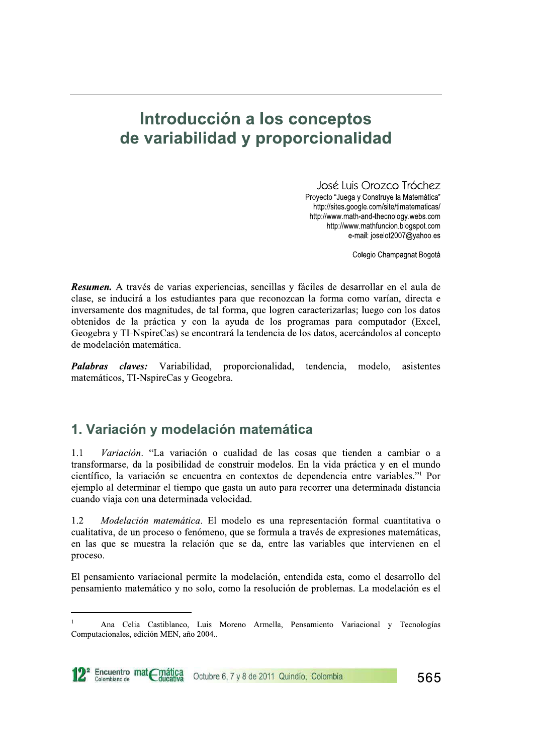# Introducción a los conceptos de variabilidad y proporcionalidad

**2012 CONCEPTOS<br>
dy proporcionalidad**<br>
José Luis Orozco Tróchez<br>
Proyecto "Juega y Construye la Matemática"<br>
http://sites.google.com/site/timatematicas/<br>
http://www.math-and-thecnology.webs.com<br>
http://www.mathfuncion.blog

Colegio Champagnat Bogotá

Resumen. A través de varias experiencias, sencillas y fáciles de desarrollar en el aula de clase, se inducirá a los estudiantes para que reconozcan la forma como varían, directa e inversamente dos magnitudes, de tal forma, que logren caracterizarlas; luego con los datos obtenidos de la práctica y con la ayuda de los programas para computador (Excel, Geogebra y TI-NspireCas) se encontrará la tendencia de los datos, acercándolos al concepto de modelación matemática.

*Palabras claves:* Variabilidad, proporcionalidad, tendencia, modelo, asistentes matemáticos, TI-NspireCas y Geogebra.

# 1. Variación y modelación matemática

 $1.1$  Variación. "La variación o cualidad de las cosas que tienden a cambiar o a transformarse, da la posibilidad de construir modelos. En la vida práctica y en el mundo  $\alpha$ ientífico, la variación se encuentra en contextos de dependencia entre variables."<sup>1</sup> Por ejemplo al determinar el tiempo que gasta un auto para recorrer una determinada distancia cuando viaja con una determinada velocidad.

 $1.2$  *Modelación matemática*. El modelo es una representación formal cuantitativa o cualitativa, de un proceso o fenómeno, que se formula a través de expresiones matemáticas, en las que se muestra la relación que se da, entre las variables que intervienen en el proceso.

El pensamiento variacional permite la modelación, entendida esta, como el desarrollo del pensamiento matemático y no solo, como la resolución de problemas. La modelación es el

Ana Celia Castiblanco, Luis Moreno Armella, Pensamiento Variacional y Tecnologías Computacionales, edición MEN, año 2004..



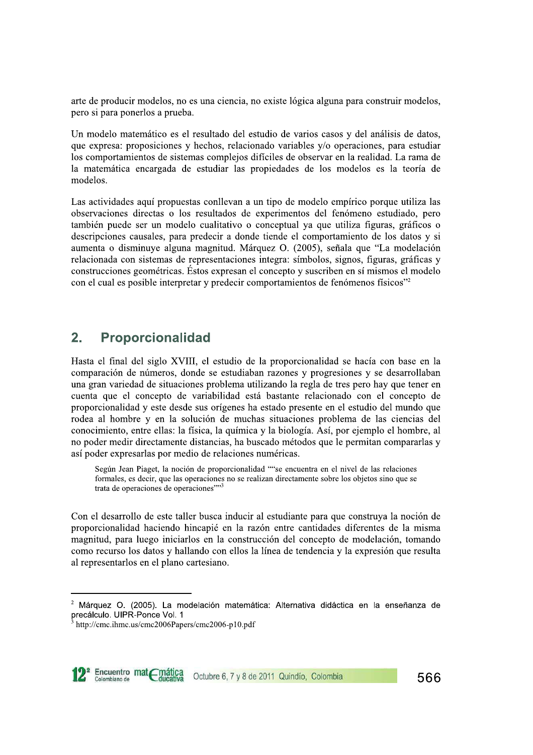arte de producir modelos, no es una ciencia, no existe lógica alguna para construir modelos, pero si para ponerlos a prueba.

Un modelo matemático es el resultado del estudio de varios casos y del análisis de datos, que expresa: proposiciones y hechos, relacionado variables y/o operaciones, para estudiar los comportamientos de sistemas complejos difíciles de observar en la realidad. La rama de la matemática encargada de estudiar las propiedades de los modelos es la teoría de modelos.

Las actividades aquí propuestas conllevan a un tipo de modelo empírico porque utiliza las observaciones directas o los resultados de experimentos del fenómeno estudiado, pero también puede ser un modelo cualitativo o conceptual ya que utiliza figuras, gráficos o descripciones causales, para predecir a donde tiende el comportamiento de los datos y si aumenta o disminuye alguna magnitud. Márquez O. (2005), señala que "La modelación relacionada con sistemas de representaciones integra: símbolos, signos, figuras, gráficas y construcciones geométricas. Éstos expresan el concepto y suscriben en sí mismos el modelo con el cual es posible interpretar y predecir comportamientos de fenómenos físicos"<sup>2</sup>

#### $2.$ **Proporcionalidad**

Hasta el final del siglo XVIII, el estudio de la proporcionalidad se hacía con base en la comparación de números, donde se estudiaban razones y progresiones y se desarrollaban una gran variedad de situaciones problema utilizando la regla de tres pero hay que tener en cuenta que el concepto de variabilidad está bastante relacionado con el concepto de proporcionalidad y este desde sus orígenes ha estado presente en el estudio del mundo que rodea al hombre y en la solución de muchas situaciones problema de las ciencias del conocimiento, entre ellas: la física, la química y la biología. Así, por ejemplo el hombre, al no poder medir directamente distancias, ha buscado métodos que le permitan compararlas y así poder expresarlas por medio de relaciones numéricas.

Según Jean Piaget, la noción de proporcionalidad ""se encuentra en el nivel de las relaciones formales, es decir, que las operaciones no se realizan directamente sobre los objetos sino que se trata de operaciones de operaciones""3

Con el desarrollo de este taller busca inducir al estudiante para que construya la noción de proporcionalidad haciendo hincapié en la razón entre cantidades diferentes de la misma magnitud, para luego iniciarlos en la construcción del concepto de modelación, tomando como recurso los datos y hallando con ellos la línea de tendencia y la expresión que resulta al representarlos en el plano cartesiano.

http://cmc.ihmc.us/cmc2006Papers/cmc2006-p10.pdf



Márquez O. (2005). La modelación matemática: Alternativa didáctica en la enseñanza de precálculo. UIPR-Ponce Vol. 1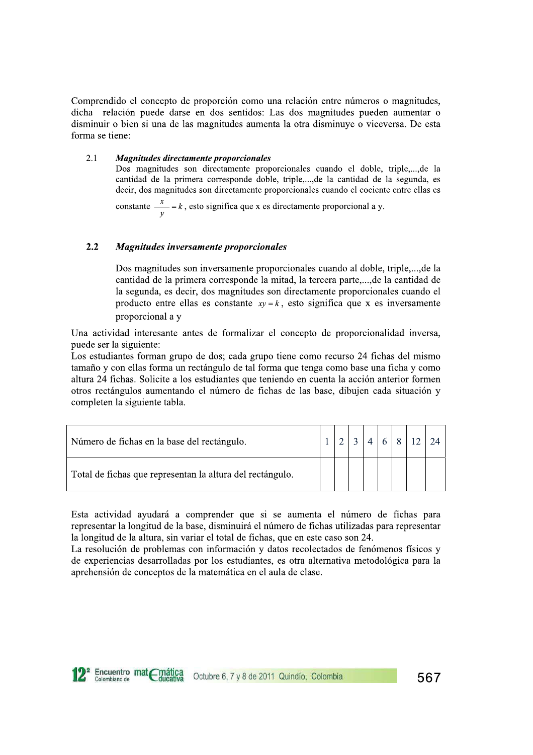Comprendido el concepto de proporción como una relación entre números o magnitudes, dicha relación puede darse en dos sentidos: Las dos magnitudes pueden aumentar o disminuir o bien si una de las magnitudes aumenta la otra disminuye o viceversa. De esta forma se tiene:

#### $2.1$ **Magnitudes directamente proporcionales**

Dos magnitudes son directamente proporcionales cuando el doble, triple,..., de la cantidad de la primera corresponde doble, triple,..., de la cantidad de la segunda, es decir, dos magnitudes son directamente proporcionales cuando el cociente entre ellas es

constante  $\frac{x}{y} = k$ , esto significa que x es directamente proporcional a y.

#### $2.2$ Magnitudes inversamente proporcionales

Dos magnitudes son inversamente proporcionales cuando al doble, triple,..., de la cantidad de la primera corresponde la mitad, la tercera parte,..., de la cantidad de la segunda, es decir, dos magnitudes son directamente proporcionales cuando el producto entre ellas es constante  $xy = k$ , esto significa que x es inversamente proporcional a y

Una actividad interesante antes de formalizar el concepto de proporcionalidad inversa, puede ser la siguiente:

Los estudiantes forman grupo de dos; cada grupo tiene como recurso 24 fichas del mismo tamaño y con ellas forma un rectángulo de tal forma que tenga como base una ficha y como altura 24 fichas. Solicite a los estudiantes que teniendo en cuenta la acción anterior formen otros rectángulos aumentando el número de fichas de las base, dibujen cada situación y completen la siguiente tabla.

| Número de fichas en la base del rectángulo.               |  |  |  | $6 \times 12$ 24 |  |
|-----------------------------------------------------------|--|--|--|------------------|--|
| Total de fichas que representan la altura del rectángulo. |  |  |  |                  |  |

Esta actividad ayudará a comprender que si se aumenta el número de fichas para representar la longitud de la base, disminuirá el número de fichas utilizadas para representar la longitud de la altura, sin variar el total de fichas, que en este caso son 24.

La resolución de problemas con información y datos recolectados de fenómenos físicos y de experiencias desarrolladas por los estudiantes, es otra alternativa metodológica para la aprehensión de conceptos de la matemática en el aula de clase.

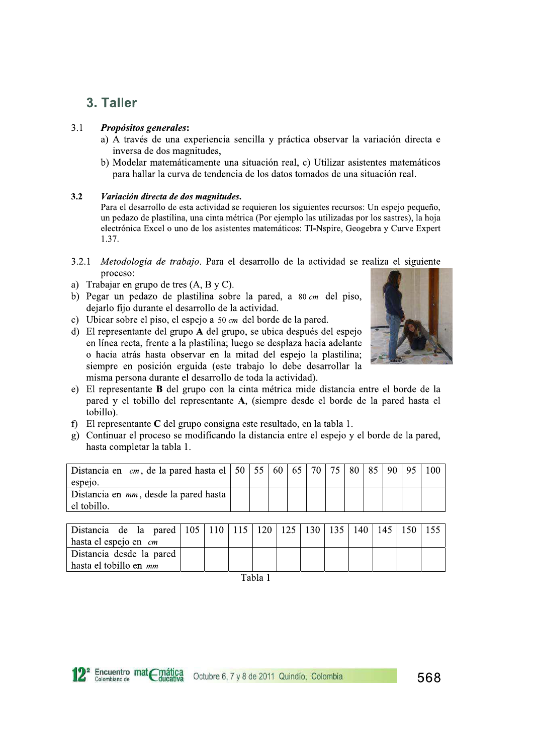## 3. Taller

#### $3.1$ Propósitos generales:

- a) A través de una experiencia sencilla y práctica observar la variación directa e inversa de dos magnitudes.
- b) Modelar matemáticamente una situación real, c) Utilizar asistentes matemáticos para hallar la curva de tendencia de los datos tomados de una situación real.

#### $3.2$ Variación directa de dos magnitudes.

Para el desarrollo de esta actividad se requieren los siguientes recursos: Un espejo pequeño, un pedazo de plastilina, una cinta métrica (Por ejemplo las utilizadas por los sastres), la hoja electrónica Excel o uno de los asistentes matemáticos: TI-Nspire, Geogebra y Curve Expert 1.37.

- $3.2.1$ Metodología de trabajo. Para el desarrollo de la actividad se realiza el siguiente proceso:
- a) Trabajar en grupo de tres  $(A, B, V, C)$ .
- b) Pegar un pedazo de plastilina sobre la pared, a  $80 \text{ cm}$  del piso, dejarlo fijo durante el desarrollo de la actividad.
- c) Ubicar sobre el piso, el espejo a  $50 \text{ cm}$  del borde de la pared.
- d) El representante del grupo A del grupo, se ubica después del espejo en línea recta, frente a la plastilina; luego se desplaza hacia adelante o hacia atrás hasta observar en la mitad del espejo la plastilina; siempre en posición erguida (este trabajo lo debe desarrollar la misma persona durante el desarrollo de toda la actividad).



- e) El representante B del grupo con la cinta métrica mide distancia entre el borde de la pared y el tobillo del representante A, (siempre desde el borde de la pared hasta el tobillo).
- f) El representante  $C$  del grupo consigna este resultado, en la tabla 1.
- g) Continuar el proceso se modificando la distancia entre el espejo y el borde de la pared, hasta completar la tabla 1.

| Distancia en <i>cm</i> , de la pared hasta el   50   55   60   65   70   75   80   85 |  |  |  |  | 190195 |  |
|---------------------------------------------------------------------------------------|--|--|--|--|--------|--|
| espejo.                                                                               |  |  |  |  |        |  |
| Distancia en mm, desde la pared hasta<br>el tobillo.                                  |  |  |  |  |        |  |

| Distancia de la pared   105   110   115   120   125   130   135   140   145   150 |  |      |  |  |  |  |
|-----------------------------------------------------------------------------------|--|------|--|--|--|--|
| hasta el espejo en <i>cm</i>                                                      |  |      |  |  |  |  |
| Distancia desde la pared                                                          |  |      |  |  |  |  |
| hasta el tobillo en mm                                                            |  |      |  |  |  |  |
|                                                                                   |  | ____ |  |  |  |  |

Tabla 1

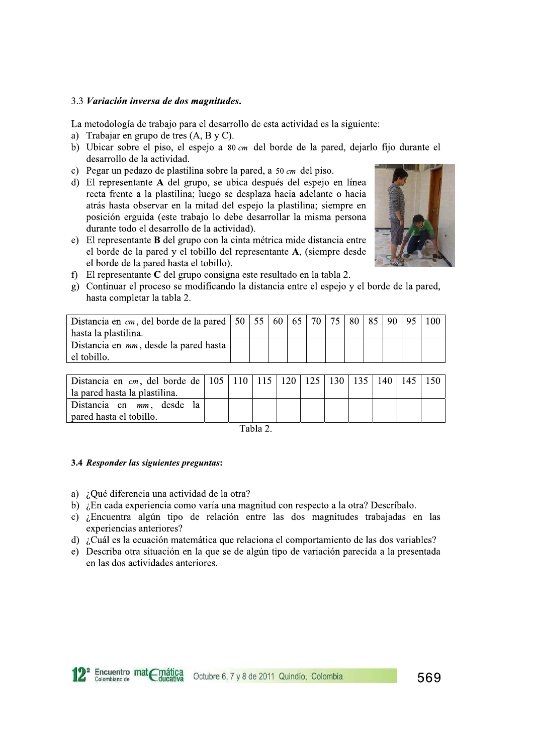### 3.3 Variación inversa de dos magnitudes.

La metodología de trabajo para el desarrollo de esta actividad es la siguiente:

- a) Trabajar en grupo de tres  $(A, B, y, C)$ .
- b) Ubicar sobre el piso, el espejo a 80 cm del borde de la pared, dejarlo fijo durante el desarrollo de la actividad.
- c) Pegar un pedazo de plastilina sobre la pared, a  $50 \text{ cm}$  del piso.
- d) El representante A del grupo, se ubica después del espejo en línea recta frente a la plastilina; luego se desplaza hacia adelante o hacia atrás hasta observar en la mitad del espejo la plastilina; siempre en posición erguida (este trabajo lo debe desarrollar la misma persona durante todo el desarrollo de la actividad).
- e) El representante B del grupo con la cinta métrica mide distancia entre el borde de la pared y el tobillo del representante A, (siempre desde el borde de la pared hasta el tobillo).



- f) El representante  $C$  del grupo consigna este resultado en la tabla 2.
- g) Continuar el proceso se modificando la distancia entre el espejo y el borde de la pared, hasta completar la tabla 2.

| Distancia en <i>cm</i> , del borde de la pared   50   55   60   65   70   75   80   85<br>hasta la plastilina. |  |  |  |  | 190195 |  |
|----------------------------------------------------------------------------------------------------------------|--|--|--|--|--------|--|
| Distancia en mm, desde la pared hasta<br>el tobillo.                                                           |  |  |  |  |        |  |

| 150   Distancia en <i>cm</i> , del borde de   105   110   115   120   125   130   135   140   145   150 |  |  |  |  |  |
|---------------------------------------------------------------------------------------------------------|--|--|--|--|--|
| la pared hasta la plastilina.                                                                           |  |  |  |  |  |
| Distancia en mm, desde la                                                                               |  |  |  |  |  |
| pared hasta el tobillo.                                                                                 |  |  |  |  |  |

Tabla 2

### 3.4 Responder las siguientes preguntas:

Encuentro matemática

- a) ¿Qué diferencia una actividad de la otra?
- b) ¿En cada experiencia como varía una magnitud con respecto a la otra? Descríbalo.
- c) ¿Encuentra algún tipo de relación entre las dos magnitudes trabajadas en las experiencias anteriores?
- d) ¿Cuál es la ecuación matemática que relaciona el comportamiento de las dos variables?
- e) Describa otra situación en la que se de algún tipo de variación parecida a la presentada en las dos actividades anteriores.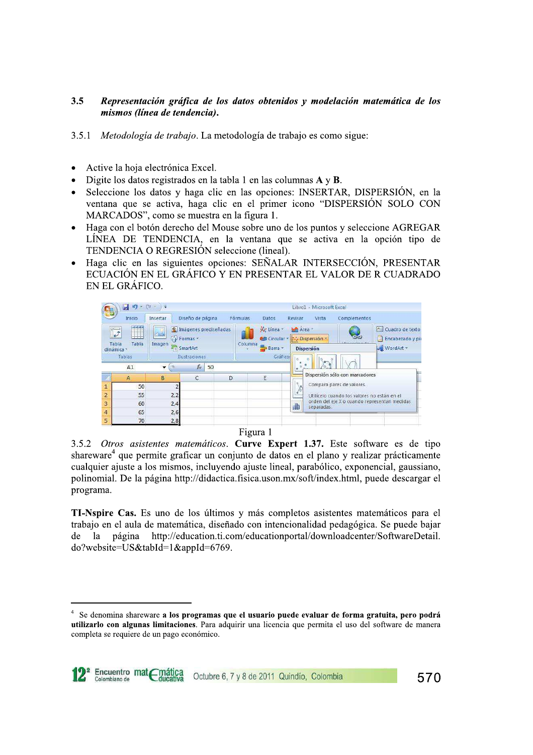## 3.5 Representacion grafica de los datos obtenidos y modelacion matematica de los mismos (línea de tendencia).

- 3.5.1 Metodología de trabajo. La metodología de trabajo es como sigue:
- 
- 
- 3.5 **Representación gráfica de los datos obtenidos y modelación matemática de los mismos (línea de tendencia).<br>
3.5.1** *Metodología de trabajo***. La metodología de trabajo es como sigue:<br>
 Active la hoja electrónica Excel.** 
	- TENDENCIA O REGRESIÓN seleccione (lineal).
	- Haga clic en las siguientes opciones: SEÑALAR INTERSECCIÓN, PRESENTAR ECUACIÓN EN EL GRÁFICO Y EN PRESENTAR EL VALOR DE R CUADRADO EN EL GRÁFICO.



**TI-Nspire Cas.** Es uno de los últimos y más completos asistentes matemáticos para el trabajo en el aula de matemática, diseñado con intencionalidad pedagógica. Se puede bajar<br>de la página http://education.ti.com/educationportal/downloadcenter/SoftwareDetail. http://education.ti.com/educationportal/downloadcenter/SoftwareDetail. do?website=US&tabId=1&appId=6769.

Se denomina shareware a los programas que el usuario puede evaluar de forma gratuita, pero podrá utilizarlo con algunas limitaciones. Para adquirir una licencia que permita el uso del software de manera completa se requiere de un pago económico.

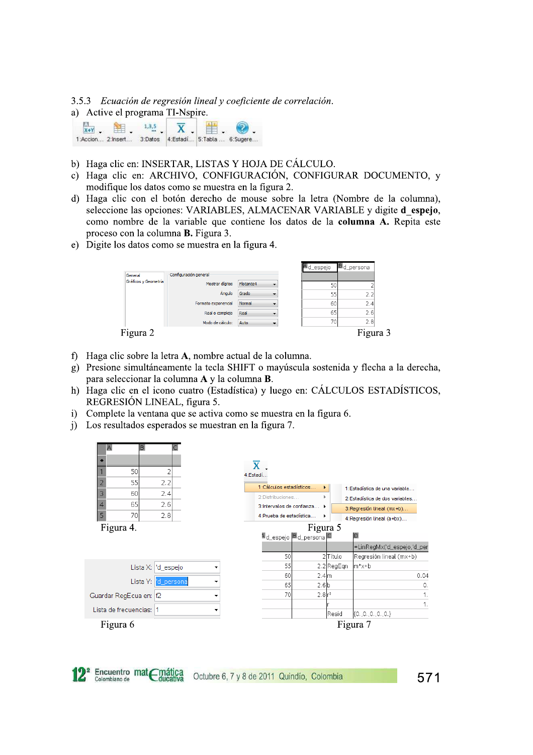3.5.3 Ecuación de regresión lineal y coeficiente de correlación.

a) Active el programa TI-Nspire.

| $X+Y$ |  |  |                                                     |
|-------|--|--|-----------------------------------------------------|
|       |  |  | 1:Accion 2:Insert 3:Datos 4:Estadí 5:Tabla 6:Sugere |

- b) Haga clic en: INSERTAR, LISTAS Y HOJA DE CÁLCULO.
- c) Haga clic en: ARCHIVO, CONFIGURACIÓN, CONFIGURAR DOCUMENTO, y modifique los datos como se muestra en la figura 2.
- d) Haga clic con el botón derecho de mouse sobre la letra (Nombre de la columna), seleccione las opciones: VARIABLES, ALMACENAR VARIABLE y digite d espejo, como nombre de la variable que contiene los datos de la columna A. Repita este proceso con la columna **B.** Figura 3.
- e) Digite los datos como se muestra en la figura 4.



- f) Haga clic sobre la letra A, nombre actual de la columna.
- g) Presione simultáneamente la tecla SHIFT o mayúscula sostenida y flecha a la derecha, para seleccionar la columna A y la columna B.
- h) Haga clic en el icono cuatro (Estadística) y luego en: CÁLCULOS ESTADÍSTICOS, REGRESIÓN LINEAL, figura 5.
- Complete la ventana que se activa como se muestra en la figura 6.  $\ddot{1}$
- i) Los resultados esperados se muestran en la figura 7.





571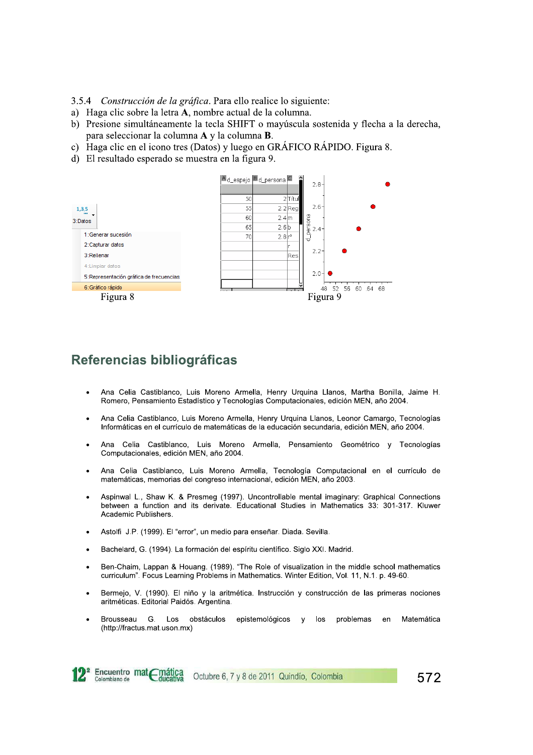3.5.4 Construcción de la gráfica. Para ello realice lo siguiente:

- a) Haga clic sobre la letra A, nombre actual de la columna.
- b) Presione simultáneamente la tecla SHIFT o mayúscula sostenida y flecha a la derecha, para seleccionar la columna A y la columna B.
- c) Haga clic en el icono tres (Datos) y luego en GRÁFICO RÁPIDO. Figura 8.
- d) El resultado esperado se muestra en la figura 9.



## Referencias bibliográficas

- Ana Celia Castiblanco, Luis Moreno Armella, Henry Urquina Llanos, Martha Bonilla, Jaime H. Romero, Pensamiento Estadístico y Tecnologías Computacionales, edición MEN, año 2004.
- Ana Celia Castiblanco, Luis Moreno Armella, Henry Urquina Llanos, Leonor Camargo, Tecnologías Informáticas en el currículo de matemáticas de la educación secundaria, edición MEN, año 2004.
- Ana Celia Castiblanco, Luis Moreno Armella, Pensamiento Geométrico y Tecnologías Computacionales, edición MEN, año 2004.
- Ana Celia Castiblanco, Luis Moreno Armella, Tecnología Computacional en el currículo de matemáticas, memorias del congreso internacional, edición MEN, año 2003.
- Aspinwal L., Shaw K. & Presmeg (1997). Uncontrollable mental imaginary: Graphical Connections between a function and its derivate. Educational Studies in Mathematics 33: 301-317. Kluwer Academic Publishers.
- Astolfi J.P. (1999). El "error", un medio para enseñar. Diada. Sevilla.
- Bachelard, G. (1994). La formación del espíritu científico. Siglo XXI. Madrid.
- Ben-Chaim, Lappan & Houang. (1989). "The Role of visualization in the middle school mathematics curriculum". Focus Learning Problems in Mathematics. Winter Edition, Vol. 11, N.1. p. 49-60.
- Bermejo, V. (1990). El niño y la aritmética. Instrucción y construcción de las primeras nociones aritméticas. Editorial Paidós. Argentina.
- Brousseau G. Los obstáculos epistemológicos y los problemas  $en$ Matemática (http://fractus.mat.uson.mx)



Octubre 6, 7 y 8 de 2011 Quindío, Colombia